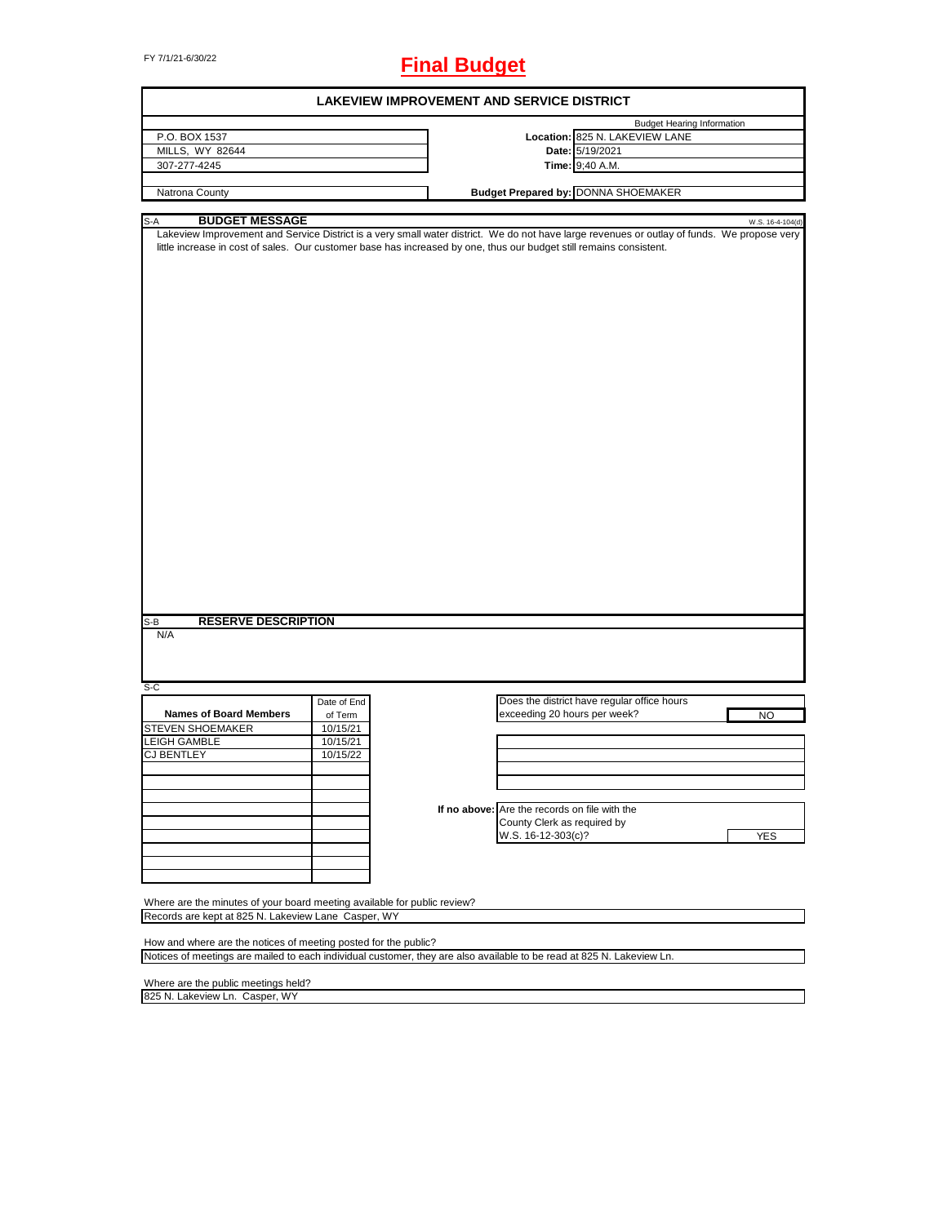FY 7/1/21-6/30/22 **Final Budget**

| <b>LAKEVIEW IMPROVEMENT AND SERVICE DISTRICT</b>                                                                                                                            |             |  |  |                                               |                                             |                  |
|-----------------------------------------------------------------------------------------------------------------------------------------------------------------------------|-------------|--|--|-----------------------------------------------|---------------------------------------------|------------------|
|                                                                                                                                                                             |             |  |  |                                               | <b>Budget Hearing Information</b>           |                  |
| P.O. BOX 1537                                                                                                                                                               |             |  |  |                                               | Location: 825 N. LAKEVIEW LANE              |                  |
| MILLS, WY 82644                                                                                                                                                             |             |  |  |                                               | Date: 5/19/2021                             |                  |
| 307-277-4245                                                                                                                                                                |             |  |  |                                               | Time: 9;40 A.M.                             |                  |
|                                                                                                                                                                             |             |  |  |                                               |                                             |                  |
| Natrona County                                                                                                                                                              |             |  |  |                                               | <b>Budget Prepared by: DONNA SHOEMAKER</b>  |                  |
|                                                                                                                                                                             |             |  |  |                                               |                                             |                  |
| <b>BUDGET MESSAGE</b><br>S-A<br>Lakeview Improvement and Service District is a very small water district. We do not have large revenues or outlay of funds. We propose very |             |  |  |                                               |                                             | W.S. 16-4-104(d) |
| little increase in cost of sales. Our customer base has increased by one, thus our budget still remains consistent.                                                         |             |  |  |                                               |                                             |                  |
| <b>RESERVE DESCRIPTION</b><br>S-B<br>N/A                                                                                                                                    |             |  |  |                                               |                                             |                  |
| $S-C$                                                                                                                                                                       |             |  |  |                                               |                                             |                  |
|                                                                                                                                                                             | Date of End |  |  |                                               | Does the district have regular office hours |                  |
| <b>Names of Board Members</b>                                                                                                                                               | of Term     |  |  | exceeding 20 hours per week?                  |                                             | <b>NO</b>        |
|                                                                                                                                                                             | 10/15/21    |  |  |                                               |                                             |                  |
| <b>STEVEN SHOEMAKER</b>                                                                                                                                                     |             |  |  |                                               |                                             |                  |
| <b>LEIGH GAMBLE</b>                                                                                                                                                         | 10/15/21    |  |  |                                               |                                             |                  |
| <b>CJ BENTLEY</b>                                                                                                                                                           | 10/15/22    |  |  |                                               |                                             |                  |
|                                                                                                                                                                             |             |  |  |                                               |                                             |                  |
|                                                                                                                                                                             |             |  |  |                                               |                                             |                  |
|                                                                                                                                                                             |             |  |  |                                               |                                             |                  |
|                                                                                                                                                                             |             |  |  | If no above: Are the records on file with the |                                             |                  |
|                                                                                                                                                                             |             |  |  | County Clerk as required by                   |                                             |                  |
|                                                                                                                                                                             |             |  |  |                                               |                                             |                  |
|                                                                                                                                                                             |             |  |  | W.S. 16-12-303(c)?                            |                                             | <b>YES</b>       |
|                                                                                                                                                                             |             |  |  |                                               |                                             |                  |
|                                                                                                                                                                             |             |  |  |                                               |                                             |                  |
|                                                                                                                                                                             |             |  |  |                                               |                                             |                  |
| Where are the minutes of your board meeting available for public review?<br>Records are kept at 825 N. Lakeview Lane Casper, WY                                             |             |  |  |                                               |                                             |                  |
|                                                                                                                                                                             |             |  |  |                                               |                                             |                  |
| How and where are the notices of meeting posted for the public?                                                                                                             |             |  |  |                                               |                                             |                  |
| Notices of meetings are mailed to each individual customer, they are also available to be read at 825 N. Lakeview Ln.                                                       |             |  |  |                                               |                                             |                  |
| Where are the public meetings held?                                                                                                                                         |             |  |  |                                               |                                             |                  |
| 825 N. Lakeview Ln. Casper, WY                                                                                                                                              |             |  |  |                                               |                                             |                  |
|                                                                                                                                                                             |             |  |  |                                               |                                             |                  |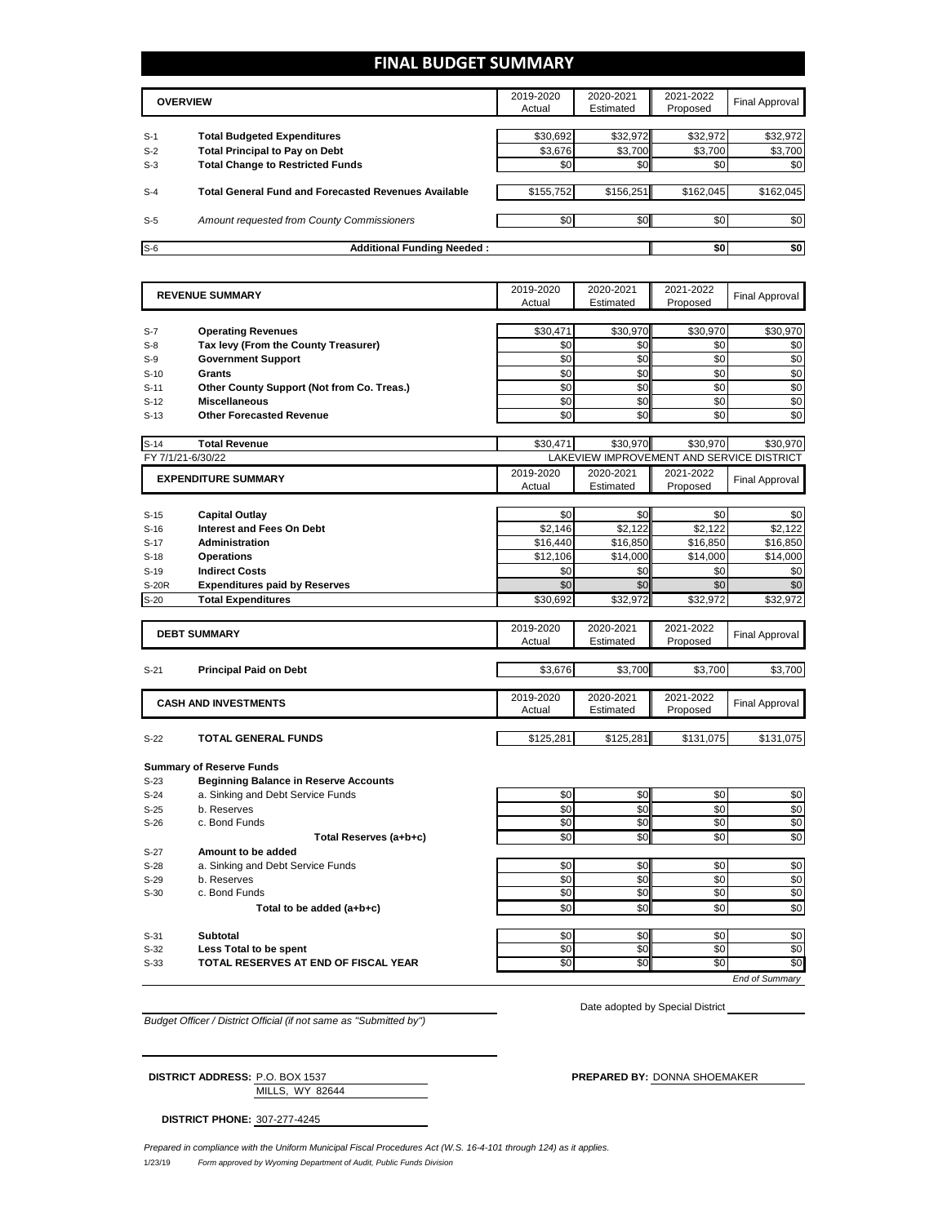## **FINAL BUDGET SUMMARY**

|       | <b>OVERVIEW</b>                                             | 2019-2020<br>Actual | 2020-2021<br>Estimated | 2021-2022<br>Proposed | <b>Final Approval</b> |
|-------|-------------------------------------------------------------|---------------------|------------------------|-----------------------|-----------------------|
|       |                                                             |                     |                        |                       |                       |
| $S-1$ | <b>Total Budgeted Expenditures</b>                          | \$30,692            | \$32,972               | \$32,972              | \$32,972              |
| $S-2$ | <b>Total Principal to Pay on Debt</b>                       | \$3,676             | \$3,700                | \$3.700               | \$3,700               |
| $S-3$ | <b>Total Change to Restricted Funds</b>                     | \$0                 | \$0                    | \$0                   | \$0                   |
|       |                                                             |                     |                        |                       |                       |
| $S-4$ | <b>Total General Fund and Forecasted Revenues Available</b> | \$155,752           | \$156,251              | \$162.045             | \$162,045             |
|       |                                                             |                     |                        |                       |                       |
| $S-5$ | Amount requested from County Commissioners                  | \$0                 | \$0 <sub>1</sub>       | \$0                   | \$0                   |
|       |                                                             |                     |                        |                       |                       |
| $S-6$ | <b>Additional Funding Needed:</b>                           |                     |                        | \$0                   | \$0                   |

| <b>REVENUE SUMMARY</b> |                                                                   | 2019-2020           | 2020-2021                                 | 2021-2022             | <b>Final Approval</b> |
|------------------------|-------------------------------------------------------------------|---------------------|-------------------------------------------|-----------------------|-----------------------|
|                        |                                                                   | Actual              | Estimated                                 | Proposed              |                       |
|                        |                                                                   |                     |                                           |                       |                       |
| $S-7$<br>$S-8$         | <b>Operating Revenues</b><br>Tax levy (From the County Treasurer) | \$30,471<br>\$0     | \$30,970<br>\$0                           | \$30,970<br>\$0       | \$30,970<br>\$0       |
|                        |                                                                   | \$0                 | \$0                                       | \$0                   | \$0                   |
| $S-9$                  | <b>Government Support</b>                                         |                     |                                           |                       |                       |
| $S-10$                 | <b>Grants</b>                                                     | \$0<br>\$0          | \$0<br>\$0                                | \$0<br>\$0            | \$0<br>\$0            |
| $S-11$                 | Other County Support (Not from Co. Treas.)                        | \$0                 | \$0                                       | \$0                   | \$0                   |
| $S-12$                 | <b>Miscellaneous</b>                                              |                     |                                           | \$0                   |                       |
| $S-13$                 | <b>Other Forecasted Revenue</b>                                   | \$0                 | \$0                                       |                       | \$0                   |
| $S-14$                 | <b>Total Revenue</b>                                              | \$30,471            | \$30,970                                  | \$30,970              | \$30,970              |
| FY 7/1/21-6/30/22      |                                                                   |                     | LAKEVIEW IMPROVEMENT AND SERVICE DISTRICT |                       |                       |
|                        | <b>EXPENDITURE SUMMARY</b>                                        | 2019-2020           | 2020-2021                                 | 2021-2022             |                       |
|                        |                                                                   | Actual              | Estimated                                 | Proposed              | <b>Final Approval</b> |
|                        |                                                                   |                     |                                           |                       |                       |
| $S-15$                 | <b>Capital Outlay</b>                                             | \$0                 | \$0                                       | \$0                   | \$0                   |
| $S-16$                 | <b>Interest and Fees On Debt</b>                                  | \$2,146             | \$2,122                                   | \$2,122               | \$2,122               |
| $S-17$                 | <b>Administration</b>                                             | \$16,440            | \$16,850                                  | \$16,850              | \$16,850              |
| $S-18$                 | <b>Operations</b>                                                 | \$12,106            | \$14,000                                  | \$14,000              | \$14,000              |
| $S-19$                 | <b>Indirect Costs</b>                                             | \$0                 | \$0                                       | \$0                   | \$0                   |
| S-20R                  | <b>Expenditures paid by Reserves</b>                              | \$0                 | \$0                                       | \$0                   | \$0                   |
| $S-20$                 | <b>Total Expenditures</b>                                         | \$30,692            | \$32,972                                  | \$32,972              | \$32,972              |
|                        |                                                                   |                     |                                           |                       |                       |
|                        | <b>DEBT SUMMARY</b>                                               | 2019-2020<br>Actual | 2020-2021<br>Estimated                    | 2021-2022<br>Proposed | <b>Final Approval</b> |
|                        |                                                                   |                     |                                           |                       |                       |
| $S-21$                 | <b>Principal Paid on Debt</b>                                     | \$3,676             | \$3,700                                   | \$3,700               | \$3,700               |
|                        |                                                                   |                     |                                           |                       |                       |
|                        | <b>CASH AND INVESTMENTS</b>                                       | 2019-2020           | 2020-2021                                 | 2021-2022             |                       |
|                        |                                                                   | Actual              | Estimated                                 | Proposed              | <b>Final Approval</b> |
|                        |                                                                   |                     |                                           |                       |                       |
| $S-22$                 | <b>TOTAL GENERAL FUNDS</b>                                        | \$125.281           | \$125,281                                 | \$131,075             | \$131,075             |
|                        | <b>Summary of Reserve Funds</b>                                   |                     |                                           |                       |                       |
| $S-23$                 | <b>Beginning Balance in Reserve Accounts</b>                      |                     |                                           |                       |                       |
| $S-24$                 | a. Sinking and Debt Service Funds                                 | \$0                 | \$0                                       | \$0                   | \$0                   |
| $S-25$                 | b. Reserves                                                       | \$0                 | \$0                                       | \$0                   | \$0                   |
| $S-26$                 | c. Bond Funds                                                     | \$0                 | \$0                                       | \$0                   | \$0                   |
|                        | Total Reserves (a+b+c)                                            | \$0                 | \$0                                       | \$0                   | \$0                   |
| $S-27$                 | Amount to be added                                                |                     |                                           |                       |                       |
| $S-28$                 | a. Sinking and Debt Service Funds                                 | \$0                 | \$0                                       | \$0                   | \$0                   |
| $S-29$                 | b. Reserves                                                       | \$0                 | \$0                                       | \$0                   | \$0                   |
| $S-30$                 | c. Bond Funds                                                     | \$0                 | \$0                                       | \$0                   | \$0                   |
|                        | Total to be added (a+b+c)                                         | \$0                 | \$0                                       | \$0                   | \$0                   |
|                        |                                                                   |                     |                                           |                       |                       |
| $S-31$                 | Subtotal                                                          | \$0                 | \$0                                       | \$0                   | \$0                   |
| $S-32$                 | Less Total to be spent                                            | \$0                 | \$0                                       | \$0                   | \$0                   |
| $S-33$                 | TOTAL RESERVES AT END OF FISCAL YEAR                              | \$0                 | \$0                                       | \$0                   | \$0                   |
|                        |                                                                   |                     |                                           |                       | End of Summary        |

*Budget Officer / District Official (if not same as "Submitted by")*

Date adopted by Special District

MILLS, WY 82644 **DISTRICT ADDRESS:** P.O. BOX 1537 **PREPARED BY:** DONNA SHOEMAKER

**DISTRICT PHONE:** 307-277-4245

1/23/19 *Form approved by Wyoming Department of Audit, Public Funds Division Prepared in compliance with the Uniform Municipal Fiscal Procedures Act (W.S. 16-4-101 through 124) as it applies.*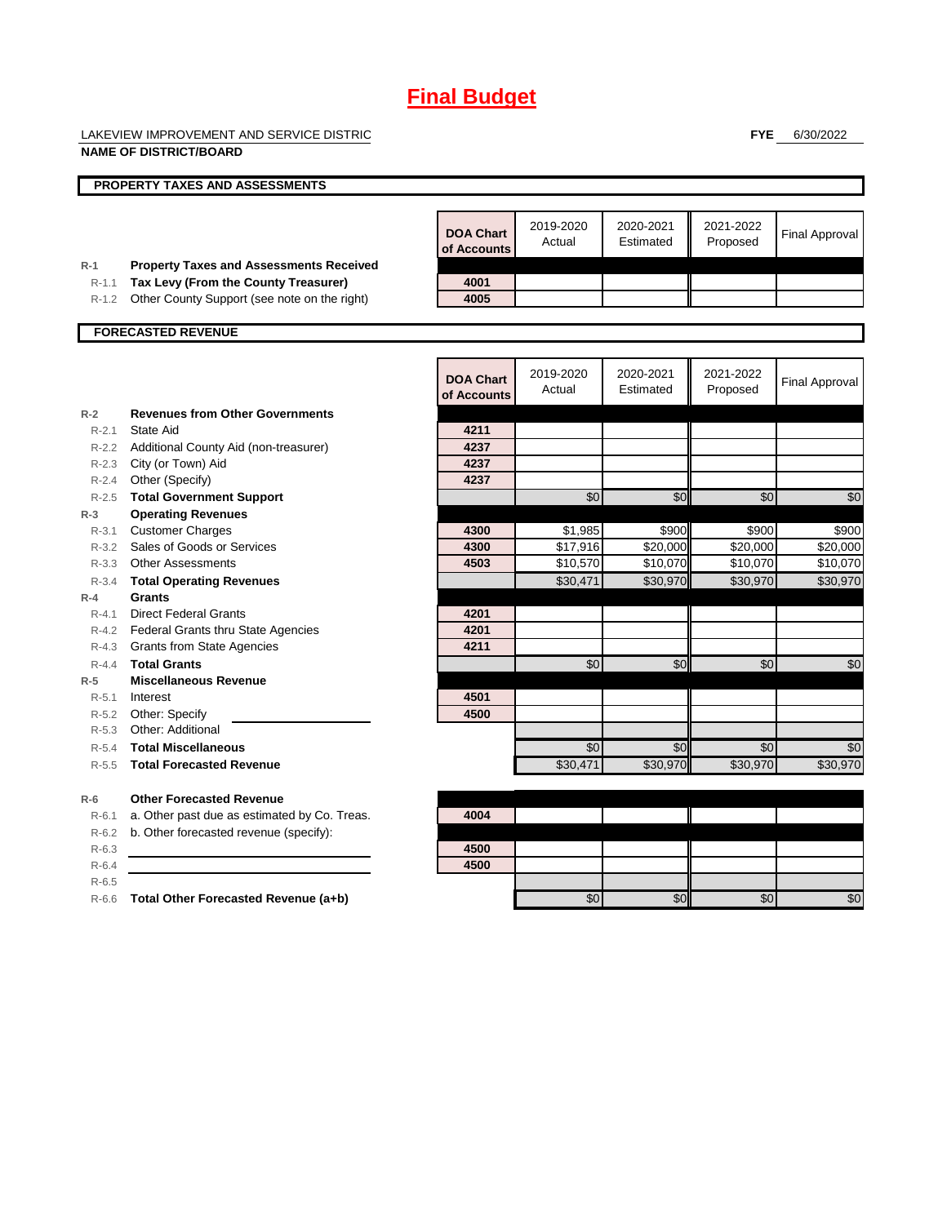LAKEVIEW IMPROVEMENT AND SERVICE DISTRICT

**FYE** 6/30/2022

|           | <b>NAME OF DISTRICT/BOARD</b>                         |                                 |                      |                        |                       |                       |
|-----------|-------------------------------------------------------|---------------------------------|----------------------|------------------------|-----------------------|-----------------------|
|           | <b>PROPERTY TAXES AND ASSESSMENTS</b>                 |                                 |                      |                        |                       |                       |
|           |                                                       |                                 |                      |                        |                       |                       |
|           |                                                       | <b>DOA Chart</b><br>of Accounts | 2019-2020<br>Actual  | 2020-2021<br>Estimated | 2021-2022<br>Proposed | <b>Final Approval</b> |
| $R-1$     | <b>Property Taxes and Assessments Received</b>        |                                 |                      |                        |                       |                       |
| $R-1.1$   | Tax Levy (From the County Treasurer)                  | 4001                            |                      |                        |                       |                       |
| $R-1.2$   | Other County Support (see note on the right)          | 4005                            |                      |                        |                       |                       |
|           | <b>FORECASTED REVENUE</b>                             |                                 |                      |                        |                       |                       |
|           |                                                       |                                 |                      |                        |                       |                       |
|           |                                                       | <b>DOA Chart</b><br>of Accounts | 2019-2020<br>Actual  | 2020-2021<br>Estimated | 2021-2022<br>Proposed | <b>Final Approval</b> |
| $R-2$     | <b>Revenues from Other Governments</b>                |                                 |                      |                        |                       |                       |
| $R - 2.1$ | State Aid                                             | 4211                            |                      |                        |                       |                       |
|           | R-2.2 Additional County Aid (non-treasurer)           | 4237                            |                      |                        |                       |                       |
|           | R-2.3 City (or Town) Aid                              | 4237                            |                      |                        |                       |                       |
|           | R-2.4 Other (Specify)                                 | 4237                            |                      |                        |                       |                       |
| $R - 2.5$ | <b>Total Government Support</b>                       |                                 | \$0                  | \$0                    | $\sqrt{6}$            | \$0                   |
| $R-3$     | <b>Operating Revenues</b>                             |                                 |                      |                        |                       |                       |
| $R - 3.1$ | <b>Customer Charges</b>                               | 4300                            | \$1,985              | \$900                  | \$900                 | \$900                 |
| $R - 3.2$ | Sales of Goods or Services<br>R-3.3 Other Assessments | 4300<br>4503                    | \$17,916<br>\$10,570 | \$20,000<br>\$10,070   | \$20,000<br>\$10,070  | \$20,000<br>\$10,070  |
| $R - 3.4$ |                                                       |                                 | \$30,471             | \$30,970               | \$30,970              | \$30,970              |
| $R-4$     | <b>Total Operating Revenues</b><br>Grants             |                                 |                      |                        |                       |                       |
| $R - 4.1$ | <b>Direct Federal Grants</b>                          | 4201                            |                      |                        |                       |                       |
|           | R-4.2 Federal Grants thru State Agencies              | 4201                            |                      |                        |                       |                       |
|           | R-4.3 Grants from State Agencies                      | 4211                            |                      |                        |                       |                       |
| $R - 4.4$ | <b>Total Grants</b>                                   |                                 | \$0                  | \$0                    | \$0                   | \$0                   |
| $R-5$     | <b>Miscellaneous Revenue</b>                          |                                 |                      |                        |                       |                       |
| $R - 5.1$ | Interest                                              | 4501                            |                      |                        |                       |                       |
|           | R-5.2 Other: Specify                                  | 4500                            |                      |                        |                       |                       |
| $R - 5.3$ | Other: Additional                                     |                                 |                      |                        |                       |                       |
| $R - 5.4$ | <b>Total Miscellaneous</b>                            |                                 | \$0                  | \$0                    | \$0                   | \$0                   |
| $R - 5.5$ | <b>Total Forecasted Revenue</b>                       |                                 | \$30.471             | \$30,970               | \$30.970              | \$30.970              |
| $R-6$     | <b>Other Forecasted Revenue</b>                       |                                 |                      |                        |                       |                       |
| $R - 6.1$ | a. Other past due as estimated by Co. Treas.          | 4004                            |                      |                        |                       |                       |
| $R-6.2$   | b. Other forecasted revenue (specify):                |                                 |                      |                        |                       |                       |
| $R-6.3$   |                                                       | 4500                            |                      |                        |                       |                       |
| $R-6.4$   |                                                       | 4500                            |                      |                        |                       |                       |
| $R-6.5$   |                                                       |                                 |                      |                        |                       |                       |
| $R-6.6$   | Total Other Forecasted Revenue (a+b)                  |                                 | \$0                  | \$0                    | \$0                   | \$0                   |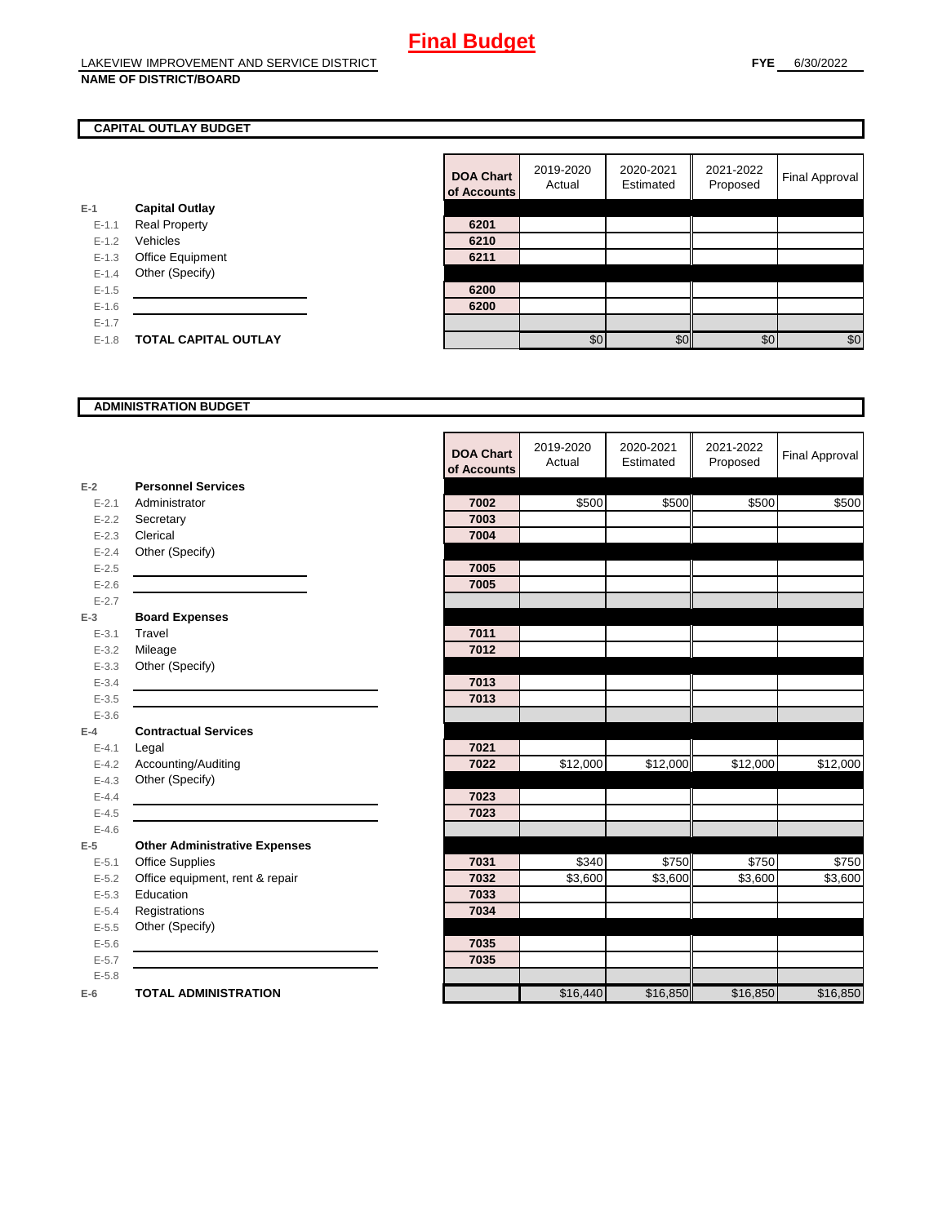## **CAPITAL OUTLAY BUDGET**

|           |                             | <u>ui nuuu</u> |
|-----------|-----------------------------|----------------|
| E-1       | <b>Capital Outlay</b>       |                |
| $E - 1.1$ | <b>Real Property</b>        | 6201           |
| $E - 1.2$ | Vehicles                    | 6210           |
| $E-1.3$   | Office Equipment            | 6211           |
| $E - 1.4$ | Other (Specify)             |                |
| $E - 1.5$ |                             | 6200           |
| $E-1.6$   |                             | 6200           |
| $E-1.7$   |                             |                |
| $E - 1.8$ | <b>TOTAL CAPITAL OUTLAY</b> |                |
|           |                             |                |

| <b>DOA Chart</b><br>of Accounts | 2019-2020<br>Actual | 2020-2021<br>Estimated | 2021-2022<br>Proposed | <b>Final Approval</b> |
|---------------------------------|---------------------|------------------------|-----------------------|-----------------------|
|                                 |                     |                        |                       |                       |
| 6201                            |                     |                        |                       |                       |
| 6210                            |                     |                        |                       |                       |
| 6211                            |                     |                        |                       |                       |
|                                 |                     |                        |                       |                       |
| 6200                            |                     |                        |                       |                       |
| 6200                            |                     |                        |                       |                       |
|                                 |                     |                        |                       |                       |
|                                 | \$0                 | ፍ                      | \$0                   | \$0                   |

#### **ADMINISTRATION BUDGET**

|           |                                      | <b>DOA Chart</b><br>of Accounts | 2019-2020<br>Actual | 2020-2021<br>Estimated | 2021-2022<br>Proposed | <b>Final Approval</b> |
|-----------|--------------------------------------|---------------------------------|---------------------|------------------------|-----------------------|-----------------------|
| $E-2$     | <b>Personnel Services</b>            |                                 |                     |                        |                       |                       |
| $E - 2.1$ | Administrator                        | 7002                            | \$500               | \$500                  | \$500                 | \$500                 |
| $E - 2.2$ | Secretary                            | 7003                            |                     |                        |                       |                       |
| $E - 2.3$ | Clerical                             | 7004                            |                     |                        |                       |                       |
| $E - 2.4$ | Other (Specify)                      |                                 |                     |                        |                       |                       |
| $E-2.5$   |                                      | 7005                            |                     |                        |                       |                       |
| $E-2.6$   |                                      | 7005                            |                     |                        |                       |                       |
| $E - 2.7$ |                                      |                                 |                     |                        |                       |                       |
| $E-3$     | <b>Board Expenses</b>                |                                 |                     |                        |                       |                       |
| $E - 3.1$ | Travel                               | 7011                            |                     |                        |                       |                       |
| $E - 3.2$ | Mileage                              | 7012                            |                     |                        |                       |                       |
| $E - 3.3$ | Other (Specify)                      |                                 |                     |                        |                       |                       |
| $E - 3.4$ |                                      | 7013                            |                     |                        |                       |                       |
| $E - 3.5$ |                                      | 7013                            |                     |                        |                       |                       |
| $E - 3.6$ |                                      |                                 |                     |                        |                       |                       |
| $E-4$     | <b>Contractual Services</b>          |                                 |                     |                        |                       |                       |
| $E - 4.1$ | Legal                                | 7021                            |                     |                        |                       |                       |
| $E - 4.2$ | Accounting/Auditing                  | 7022                            | \$12,000            | \$12,000               | \$12,000              | \$12,000              |
| $E - 4.3$ | Other (Specify)                      |                                 |                     |                        |                       |                       |
| $E - 4.4$ |                                      | 7023                            |                     |                        |                       |                       |
| $E-4.5$   |                                      | 7023                            |                     |                        |                       |                       |
| $E-4.6$   |                                      |                                 |                     |                        |                       |                       |
| $E-5$     | <b>Other Administrative Expenses</b> |                                 |                     |                        |                       |                       |
| $E - 5.1$ | Office Supplies                      | 7031                            | \$340               | \$750                  | \$750                 | \$750                 |
| $E - 5.2$ | Office equipment, rent & repair      | 7032                            | \$3,600             | \$3,600                | \$3,600               | \$3,600               |
| $E - 5.3$ | Education                            | 7033                            |                     |                        |                       |                       |
| $E - 5.4$ | Registrations                        | 7034                            |                     |                        |                       |                       |
| $E-5.5$   | Other (Specify)                      |                                 |                     |                        |                       |                       |
| $E-5.6$   |                                      | 7035                            |                     |                        |                       |                       |
| $E - 5.7$ |                                      | 7035                            |                     |                        |                       |                       |
| $E - 5.8$ |                                      |                                 |                     |                        |                       |                       |
| $E-6$     | <b>TOTAL ADMINISTRATION</b>          |                                 | \$16,440            | \$16,850               | \$16,850              | \$16,850              |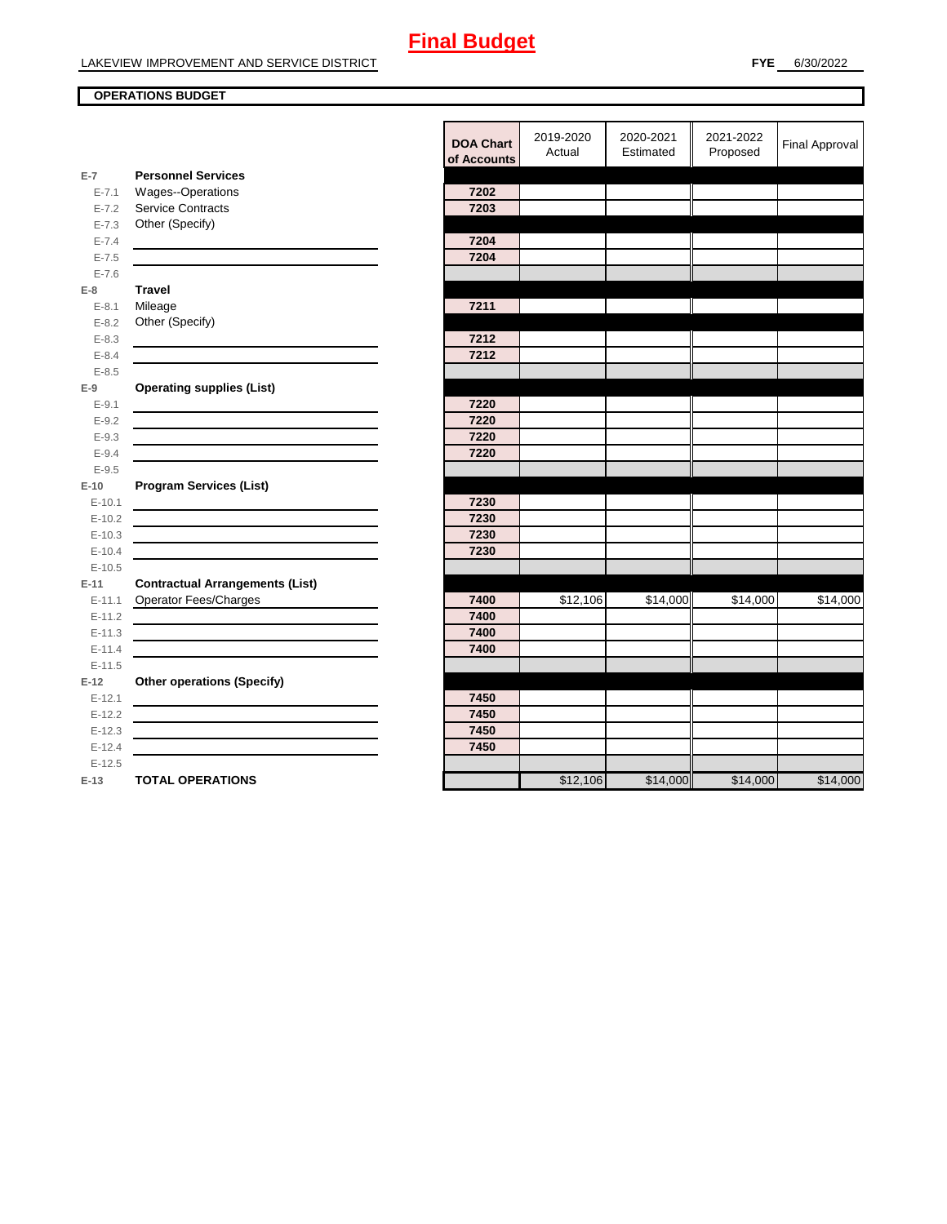## **OPERATIONS BUDGET**

|            |                                        | of Accou |
|------------|----------------------------------------|----------|
| $E-7$      | <b>Personnel Services</b>              |          |
| $E - 7.1$  | Wages--Operations                      | 7202     |
| $E - 7.2$  | <b>Service Contracts</b>               | 7203     |
| $E - 7.3$  | Other (Specify)                        |          |
| $E - 7.4$  |                                        | 7204     |
| $E - 7.5$  |                                        | 7204     |
| $E - 7.6$  |                                        |          |
| $E-8$      | <b>Travel</b>                          |          |
| $E - 8.1$  | Mileage                                | 7211     |
| $E - 8.2$  | Other (Specify)                        |          |
| $E - 8.3$  |                                        | 7212     |
| $E - 8.4$  |                                        | 7212     |
| $E - 8.5$  |                                        |          |
| $E-9$      | <b>Operating supplies (List)</b>       |          |
| $E-9.1$    |                                        | 7220     |
| $E - 9.2$  |                                        | 7220     |
| $E - 9.3$  |                                        | 7220     |
| $E - 9.4$  |                                        | 7220     |
| $E - 9.5$  |                                        |          |
| $E-10$     | <b>Program Services (List)</b>         |          |
| $E-10.1$   |                                        | 7230     |
| $E-10.2$   |                                        | 7230     |
| $E-10.3$   |                                        | 7230     |
| $E-10.4$   |                                        | 7230     |
| $E-10.5$   |                                        |          |
| $E-11$     | <b>Contractual Arrangements (List)</b> |          |
| $E-11.1$   | <b>Operator Fees/Charges</b>           | 7400     |
| $E-11.2$   |                                        | 7400     |
| $E-11.3$   |                                        | 7400     |
| $E - 11.4$ |                                        | 7400     |
| $E-11.5$   |                                        |          |
| $E-12$     | <b>Other operations (Specify)</b>      |          |
| $E-12.1$   |                                        | 7450     |
| $E-12.2$   |                                        | 7450     |
| $E-12.3$   |                                        | 7450     |
| $E-12.4$   |                                        | 7450     |
| $E-12.5$   |                                        |          |
| $E-13$     | <b>TOTAL OPERATIONS</b>                |          |

|            |                                                                                                                      | <b>DOA Chart</b><br>of Accounts | 2019-2020<br>Actual | 2020-2021<br>Estimated | 2021-2022<br>Proposed | <b>Final Approval</b> |
|------------|----------------------------------------------------------------------------------------------------------------------|---------------------------------|---------------------|------------------------|-----------------------|-----------------------|
| $E-7$      | <b>Personnel Services</b>                                                                                            |                                 |                     |                        |                       |                       |
| $E - 7.1$  | Wages--Operations                                                                                                    | 7202                            |                     |                        |                       |                       |
| $E - 7.2$  | Service Contracts                                                                                                    | 7203                            |                     |                        |                       |                       |
| $E - 7.3$  | Other (Specify)                                                                                                      |                                 |                     |                        |                       |                       |
| $E - 7.4$  |                                                                                                                      | 7204                            |                     |                        |                       |                       |
| $E - 7.5$  |                                                                                                                      | 7204                            |                     |                        |                       |                       |
| $E - 7.6$  |                                                                                                                      |                                 |                     |                        |                       |                       |
| E-8        | <b>Travel</b>                                                                                                        |                                 |                     |                        |                       |                       |
| $E-8.1$    | Mileage                                                                                                              | 7211                            |                     |                        |                       |                       |
| $E - 8.2$  | Other (Specify)                                                                                                      |                                 |                     |                        |                       |                       |
| $E - 8.3$  | <u> 1989 - Johann Stein, mars an t-Amerikaansk kommunister (</u>                                                     | 7212                            |                     |                        |                       |                       |
| $E - 8.4$  |                                                                                                                      | 7212                            |                     |                        |                       |                       |
| $E - 8.5$  |                                                                                                                      |                                 |                     |                        |                       |                       |
| E-9        | <b>Operating supplies (List)</b>                                                                                     |                                 |                     |                        |                       |                       |
| $E-9.1$    |                                                                                                                      | 7220                            |                     |                        |                       |                       |
| $E - 9.2$  |                                                                                                                      | 7220                            |                     |                        |                       |                       |
| $E - 9.3$  |                                                                                                                      | 7220                            |                     |                        |                       |                       |
| $E - 9.4$  |                                                                                                                      | 7220                            |                     |                        |                       |                       |
| $E - 9.5$  |                                                                                                                      |                                 |                     |                        |                       |                       |
| E-10       | <b>Program Services (List)</b>                                                                                       |                                 |                     |                        |                       |                       |
| $E-10.1$   | <u> 1980 - Johann Barnett, fransk politiker (d. 1980)</u>                                                            | 7230                            |                     |                        |                       |                       |
| $E-10.2$   | <u> 1989 - Johann Barbara, martin amerikan basar dan basa dan basa dan basa dalam basa dalam basa dalam basa dan</u> | 7230                            |                     |                        |                       |                       |
| $E-10.3$   | <u> 1989 - Johann Stein, mars an deus Amerikaansk kommunister (* 1950)</u>                                           | 7230                            |                     |                        |                       |                       |
| $E-10.4$   |                                                                                                                      | 7230                            |                     |                        |                       |                       |
| $E-10.5$   |                                                                                                                      |                                 |                     |                        |                       |                       |
| E-11       | <b>Contractual Arrangements (List)</b>                                                                               |                                 |                     |                        |                       |                       |
| $E-11.1$   | Operator Fees/Charges                                                                                                | 7400                            | \$12,106            | \$14,000               | \$14,000              | \$14,000              |
| $E-11.2$   |                                                                                                                      | 7400                            |                     |                        |                       |                       |
| $E - 11.3$ |                                                                                                                      | 7400                            |                     |                        |                       |                       |
| $E-11.4$   |                                                                                                                      | 7400                            |                     |                        |                       |                       |
| $E-11.5$   |                                                                                                                      |                                 |                     |                        |                       |                       |
| $E-12$     | <b>Other operations (Specify)</b>                                                                                    |                                 |                     |                        |                       |                       |
| $E-12.1$   |                                                                                                                      | 7450                            |                     |                        |                       |                       |
| $E-12.2$   |                                                                                                                      | 7450                            |                     |                        |                       |                       |
| $E-12.3$   |                                                                                                                      | 7450                            |                     |                        |                       |                       |
| $E-12.4$   |                                                                                                                      | 7450                            |                     |                        |                       |                       |
| $E-12.5$   |                                                                                                                      |                                 |                     |                        |                       |                       |
| E-13       | <b>TOTAL OPERATIONS</b>                                                                                              |                                 | \$12,106            | \$14,000               | \$14,000              | \$14,000              |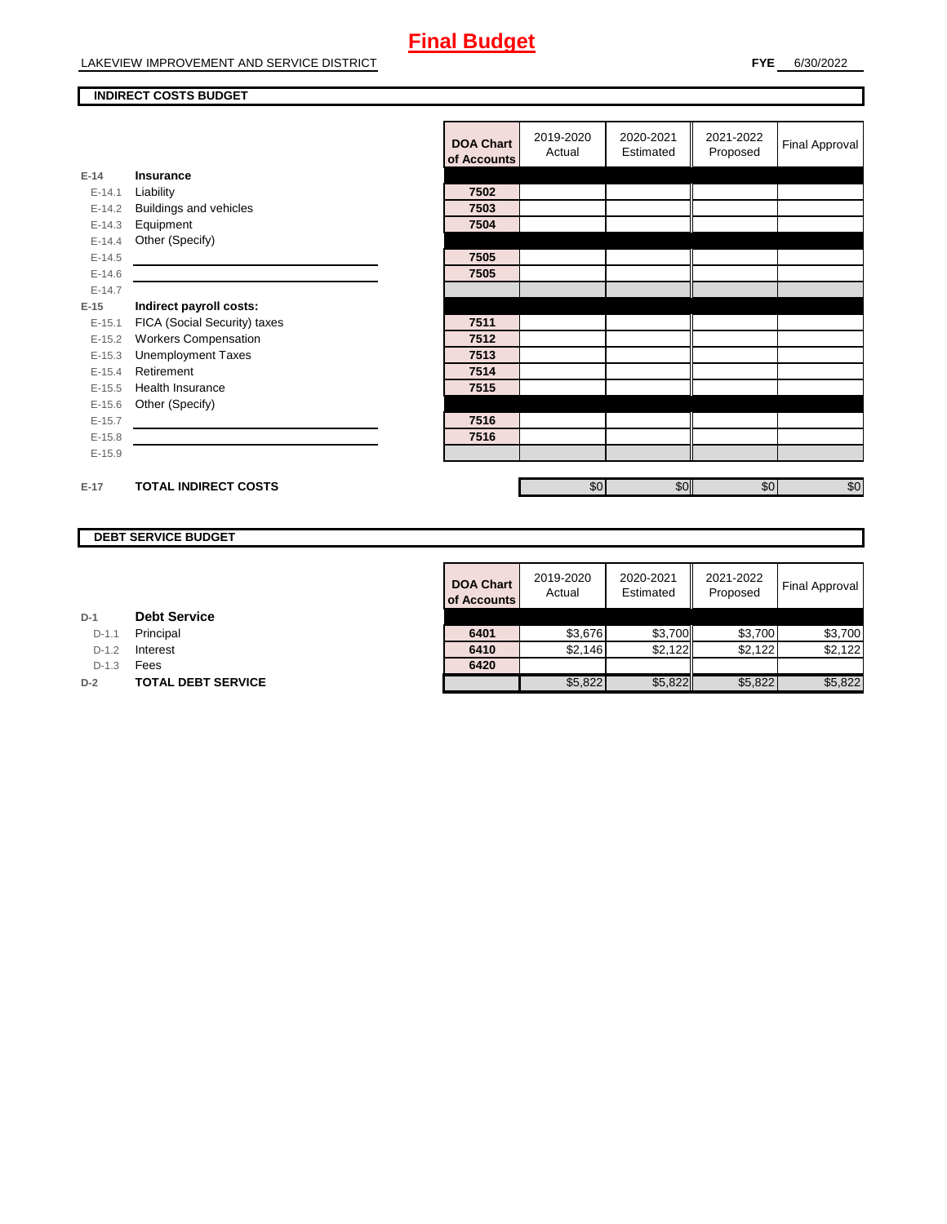#### **INDIRECT COSTS BUDGET**

|          |                               | <b>DOA Chart</b><br>of Accounts | 2019-2020<br>Actual | 2020-2021<br>Estimated | 2021-2022<br>Proposed | <b>Final Approval</b> |
|----------|-------------------------------|---------------------------------|---------------------|------------------------|-----------------------|-----------------------|
| $E-14$   | <b>Insurance</b>              |                                 |                     |                        |                       |                       |
| $E-14.1$ | Liability                     | 7502                            |                     |                        |                       |                       |
| $E-14.2$ | <b>Buildings and vehicles</b> | 7503                            |                     |                        |                       |                       |
| $E-14.3$ | Equipment                     | 7504                            |                     |                        |                       |                       |
| $E-14.4$ | Other (Specify)               |                                 |                     |                        |                       |                       |
| $E-14.5$ |                               | 7505                            |                     |                        |                       |                       |
| $E-14.6$ |                               | 7505                            |                     |                        |                       |                       |
| $E-14.7$ |                               |                                 |                     |                        |                       |                       |
| $E-15$   | Indirect payroll costs:       |                                 |                     |                        |                       |                       |
| $E-15.1$ | FICA (Social Security) taxes  | 7511                            |                     |                        |                       |                       |
| $E-15.2$ | <b>Workers Compensation</b>   | 7512                            |                     |                        |                       |                       |
| $E-15.3$ | <b>Unemployment Taxes</b>     | 7513                            |                     |                        |                       |                       |
| $E-15.4$ | Retirement                    | 7514                            |                     |                        |                       |                       |
| $E-15.5$ | <b>Health Insurance</b>       | 7515                            |                     |                        |                       |                       |
| $E-15.6$ | Other (Specify)               |                                 |                     |                        |                       |                       |
| $E-15.7$ |                               | 7516                            |                     |                        |                       |                       |
| $E-15.8$ |                               | 7516                            |                     |                        |                       |                       |
| $E-15.9$ |                               |                                 |                     |                        |                       |                       |
|          |                               |                                 |                     |                        |                       |                       |
| $E-17$   | <b>TOTAL INDIRECT COSTS</b>   |                                 | \$0                 | \$0                    | \$0                   | $\sqrt{6}$            |

## **DEBT SERVICE BUDGET**

| <b>DOA Chart</b><br>of Accounts | 2019-2020<br>Actual | 2020-2021<br>Estimated | 2021-2022<br>Proposed | <b>Final Approval</b> |
|---------------------------------|---------------------|------------------------|-----------------------|-----------------------|
|                                 |                     |                        |                       |                       |
| 6401                            | \$3,676             | \$3,700                | \$3,700               | \$3,700               |
| 6410                            | \$2.146             | \$2,122                | \$2.122               | \$2.122               |
| 6420                            |                     |                        |                       |                       |
|                                 | \$5,822             | \$5,822                | \$5,822               | \$5.822               |

**D-1.1 Principal** 

**D-1.2 Interest** 

D-1.3 **Fees** 

**D-2 TOTAL DEBT SERVICE**